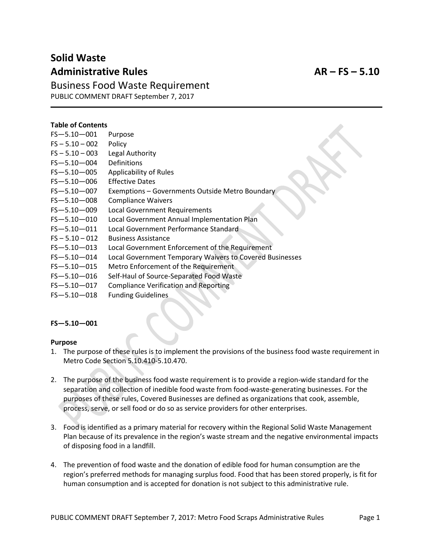# **Solid Waste Administrative Rules AR – FS – 5.10**

Business Food Waste Requirement PUBLIC COMMENT DRAFT September 7, 2017

#### **Table of Contents**

| $FS - 5.10 - 001$ | Purpose                                                  |
|-------------------|----------------------------------------------------------|
| $FS - 5.10 - 002$ | Policy                                                   |
| $FS - 5.10 - 003$ | Legal Authority                                          |
| FS-5.10-004       | <b>Definitions</b>                                       |
| FS-5.10-005       | <b>Applicability of Rules</b>                            |
| $FS - 5.10 - 006$ | <b>Effective Dates</b>                                   |
| FS-5.10-007       | Exemptions - Governments Outside Metro Boundary          |
| FS-5.10-008       | <b>Compliance Waivers</b>                                |
| FS-5.10-009       | <b>Local Government Requirements</b>                     |
| FS-5.10-010       | Local Government Annual Implementation Plan              |
| $FS - 5.10 - 011$ | Local Government Performance Standard                    |
| $FS - 5.10 - 012$ | <b>Business Assistance</b>                               |
| FS-5.10-013       | Local Government Enforcement of the Requirement          |
| FS-5.10-014       | Local Government Temporary Waivers to Covered Businesses |
| $FS - 5.10 - 015$ | Metro Enforcement of the Requirement                     |
| $FS - 5.10 - 016$ | Self-Haul of Source-Separated Food Waste                 |
| FS-5.10-017       | <b>Compliance Verification and Reporting</b>             |
|                   |                                                          |

FS—5.10—018 Funding Guidelines

#### **FS—5.10—001**

#### **Purpose**

- 1. The purpose of these rules is to implement the provisions of the business food waste requirement in Metro Code Section 5.10.410-5.10.470.
- 2. The purpose of the business food waste requirement is to provide a region-wide standard for the separation and collection of inedible food waste from food-waste-generating businesses. For the purposes of these rules, Covered Businesses are defined as organizations that cook, assemble, process, serve, or sell food or do so as service providers for other enterprises.
- 3. Food is identified as a primary material for recovery within the Regional Solid Waste Management Plan because of its prevalence in the region's waste stream and the negative environmental impacts of disposing food in a landfill.
- 4. The prevention of food waste and the donation of edible food for human consumption are the region's preferred methods for managing surplus food. Food that has been stored properly, is fit for human consumption and is accepted for donation is not subject to this administrative rule.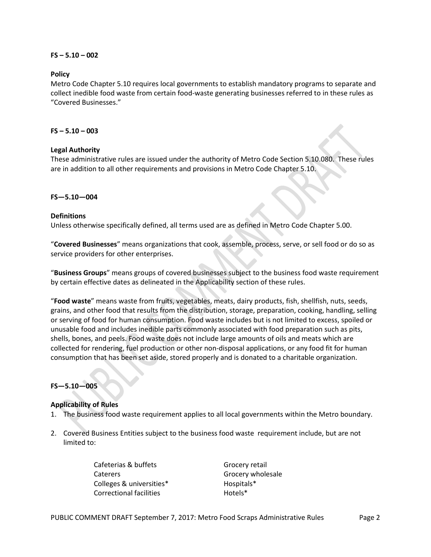#### **FS – 5.10 – 002**

#### **Policy**

Metro Code Chapter 5.10 requires local governments to establish mandatory programs to separate and collect inedible food waste from certain food-waste generating businesses referred to in these rules as "Covered Businesses."

#### **FS – 5.10 – 003**

#### **Legal Authority**

These administrative rules are issued under the authority of Metro Code Section 5.10.080. These rules are in addition to all other requirements and provisions in Metro Code Chapter 5.10.

#### **FS—5.10—004**

#### **Definitions**

Unless otherwise specifically defined, all terms used are as defined in Metro Code Chapter 5.00.

"**Covered Businesses**" means organizations that cook, assemble, process, serve, or sell food or do so as service providers for other enterprises.

"**Business Groups**" means groups of covered businesses subject to the business food waste requirement by certain effective dates as delineated in the Applicability section of these rules.

"**Food waste**" means waste from fruits, vegetables, meats, dairy products, fish, shellfish, nuts, seeds, grains, and other food that results from the distribution, storage, preparation, cooking, handling, selling or serving of food for human consumption. Food waste includes but is not limited to excess, spoiled or unusable food and includes inedible parts commonly associated with food preparation such as pits, shells, bones, and peels. Food waste does not include large amounts of oils and meats which are collected for rendering, fuel production or other non-disposal applications, or any food fit for human consumption that has been set aside, stored properly and is donated to a charitable organization.

## **FS—5.10—005**

## **Applicability of Rules**

- 1. The business food waste requirement applies to all local governments within the Metro boundary.
- 2. Covered Business Entities subject to the business food waste requirement include, but are not limited to:

Cafeterias & buffets Caterers Colleges & universities\* Correctional facilities

Grocery retail Grocery wholesale Hospitals\* Hotels\*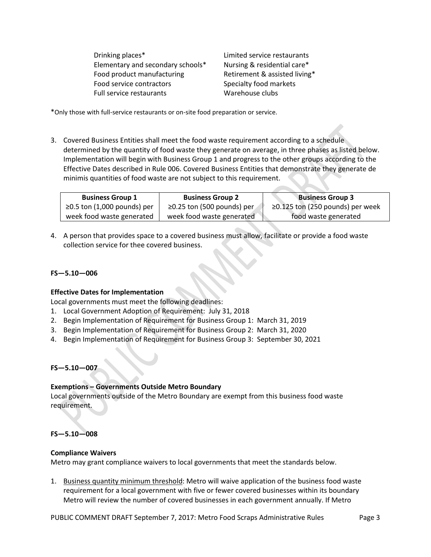Drinking places\* Elementary and secondary schools\* Food product manufacturing Food service contractors Full service restaurants

Limited service restaurants Nursing & residential care\* Retirement & assisted living\* Specialty food markets Warehouse clubs

\*Only those with full-service restaurants or on-site food preparation or service.

3. Covered Business Entities shall meet the food waste requirement according to a schedule determined by the quantity of food waste they generate on average, in three phases as listed below. Implementation will begin with Business Group 1 and progress to the other groups according to the Effective Dates described in Rule 006. Covered Business Entities that demonstrate they generate de minimis quantities of food waste are not subject to this requirement.

| <b>Business Group 1</b>     | <b>Business Group 2</b>          | <b>Business Group 3</b>          |
|-----------------------------|----------------------------------|----------------------------------|
| ≥0.5 ton (1,000 pounds) per | $\geq$ 0.25 ton (500 pounds) per | ≥0.125 ton (250 pounds) per week |
| week food waste generated   | week food waste generated        | food waste generated             |

4. A person that provides space to a covered business must allow, facilitate or provide a food waste collection service for thee covered business.

#### **FS—5.10—006**

#### **Effective Dates for Implementation**

Local governments must meet the following deadlines:

- 1. Local Government Adoption of Requirement: July 31, 2018
- 2. Begin Implementation of Requirement for Business Group 1: March 31, 2019
- 3. Begin Implementation of Requirement for Business Group 2: March 31, 2020
- 4. Begin Implementation of Requirement for Business Group 3: September 30, 2021

#### **FS—5.10—007**

## **Exemptions – Governments Outside Metro Boundary**

Local governments outside of the Metro Boundary are exempt from this business food waste requirement.

## **FS—5.10—008**

#### **Compliance Waivers**

Metro may grant compliance waivers to local governments that meet the standards below.

1. Business quantity minimum threshold: Metro will waive application of the business food waste requirement for a local government with five or fewer covered businesses within its boundary Metro will review the number of covered businesses in each government annually. If Metro

PUBLIC COMMENT DRAFT September 7, 2017: Metro Food Scraps Administrative Rules Page 3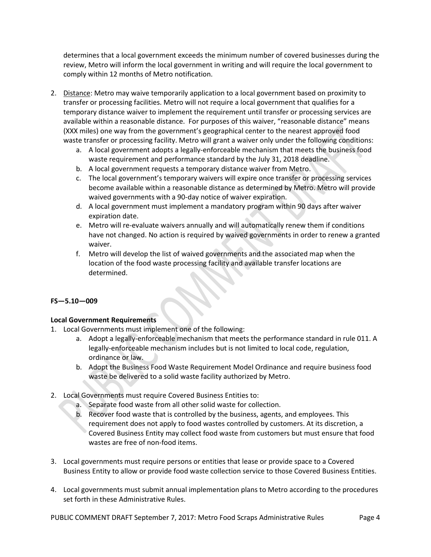determines that a local government exceeds the minimum number of covered businesses during the review, Metro will inform the local government in writing and will require the local government to comply within 12 months of Metro notification.

- 2. Distance: Metro may waive temporarily application to a local government based on proximity to transfer or processing facilities. Metro will not require a local government that qualifies for a temporary distance waiver to implement the requirement until transfer or processing services are available within a reasonable distance. For purposes of this waiver, "reasonable distance" means (XXX miles) one way from the government's geographical center to the nearest approved food waste transfer or processing facility. Metro will grant a waiver only under the following conditions:
	- a. A local government adopts a legally-enforceable mechanism that meets the business food waste requirement and performance standard by the July 31, 2018 deadline.
	- b. A local government requests a temporary distance waiver from Metro.
	- c. The local government's temporary waivers will expire once transfer or processing services become available within a reasonable distance as determined by Metro. Metro will provide waived governments with a 90-day notice of waiver expiration.
	- d. A local government must implement a mandatory program within 90 days after waiver expiration date.
	- e. Metro will re-evaluate waivers annually and will automatically renew them if conditions have not changed. No action is required by waived governments in order to renew a granted waiver.
	- f. Metro will develop the list of waived governments and the associated map when the location of the food waste processing facility and available transfer locations are determined.

## **FS—5.10—009**

## **Local Government Requirements**

- 1. Local Governments must implement one of the following:
	- a. Adopt a legally-enforceable mechanism that meets the performance standard in rule 011. A legally-enforceable mechanism includes but is not limited to local code, regulation, ordinance or law.
	- b. Adopt the Business Food Waste Requirement Model Ordinance and require business food waste be delivered to a solid waste facility authorized by Metro.
- 2. Local Governments must require Covered Business Entities to:
	- a. Separate food waste from all other solid waste for collection.
	- b. Recover food waste that is controlled by the business, agents, and employees. This requirement does not apply to food wastes controlled by customers. At its discretion, a Covered Business Entity may collect food waste from customers but must ensure that food wastes are free of non-food items.
- 3. Local governments must require persons or entities that lease or provide space to a Covered Business Entity to allow or provide food waste collection service to those Covered Business Entities.
- 4. Local governments must submit annual implementation plans to Metro according to the procedures set forth in these Administrative Rules.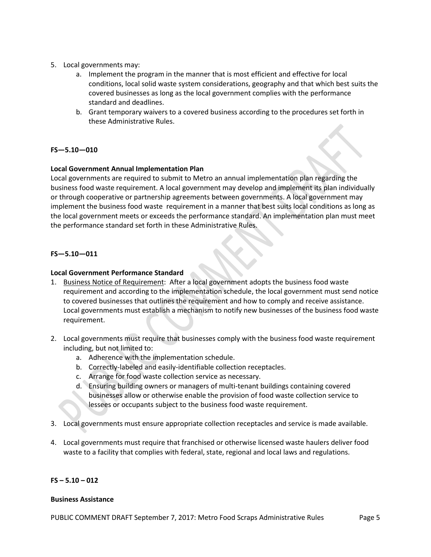- 5. Local governments may:
	- a. Implement the program in the manner that is most efficient and effective for local conditions, local solid waste system considerations, geography and that which best suits the covered businesses as long as the local government complies with the performance standard and deadlines.
	- b. Grant temporary waivers to a covered business according to the procedures set forth in these Administrative Rules.

## **FS—5.10—010**

## **Local Government Annual Implementation Plan**

Local governments are required to submit to Metro an annual implementation plan regarding the business food waste requirement. A local government may develop and implement its plan individually or through cooperative or partnership agreements between governments. A local government may implement the business food waste requirement in a manner that best suits local conditions as long as the local government meets or exceeds the performance standard. An implementation plan must meet the performance standard set forth in these Administrative Rules.

## **FS—5.10—011**

## **Local Government Performance Standard**

- 1. Business Notice of Requirement: After a local government adopts the business food waste requirement and according to the implementation schedule, the local government must send notice to covered businesses that outlines the requirement and how to comply and receive assistance. Local governments must establish a mechanism to notify new businesses of the business food waste requirement.
- 2. Local governments must require that businesses comply with the business food waste requirement including, but not limited to:
	- a. Adherence with the implementation schedule.
	- b. Correctly-labeled and easily-identifiable collection receptacles.
	- c. Arrange for food waste collection service as necessary.
	- d. Ensuring building owners or managers of multi-tenant buildings containing covered businesses allow or otherwise enable the provision of food waste collection service to lessees or occupants subject to the business food waste requirement.
- 3. Local governments must ensure appropriate collection receptacles and service is made available.
- 4. Local governments must require that franchised or otherwise licensed waste haulers deliver food waste to a facility that complies with federal, state, regional and local laws and regulations.

## **FS – 5.10 – 012**

#### **Business Assistance**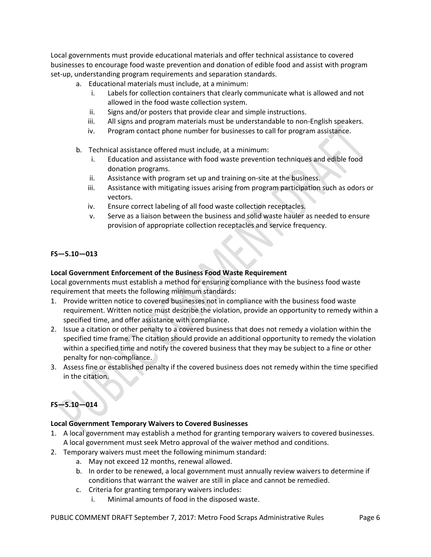Local governments must provide educational materials and offer technical assistance to covered businesses to encourage food waste prevention and donation of edible food and assist with program set-up, understanding program requirements and separation standards.

- a. Educational materials must include, at a minimum:
	- i. Labels for collection containers that clearly communicate what is allowed and not allowed in the food waste collection system.
	- ii. Signs and/or posters that provide clear and simple instructions.
	- iii. All signs and program materials must be understandable to non-English speakers.
	- iv. Program contact phone number for businesses to call for program assistance.
- b. Technical assistance offered must include, at a minimum:
	- Education and assistance with food waste prevention techniques and edible food donation programs.
	- ii. Assistance with program set up and training on-site at the business.
	- iii. Assistance with mitigating issues arising from program participation such as odors or vectors.
	- iv. Ensure correct labeling of all food waste collection receptacles.
	- v. Serve as a liaison between the business and solid waste hauler as needed to ensure provision of appropriate collection receptacles and service frequency.

## **FS—5.10—013**

## **Local Government Enforcement of the Business Food Waste Requirement**

Local governments must establish a method for ensuring compliance with the business food waste requirement that meets the following minimum standards:

- 1. Provide written notice to covered businesses not in compliance with the business food waste requirement. Written notice must describe the violation, provide an opportunity to remedy within a specified time, and offer assistance with compliance.
- 2. Issue a citation or other penalty to a covered business that does not remedy a violation within the specified time frame. The citation should provide an additional opportunity to remedy the violation within a specified time and notify the covered business that they may be subject to a fine or other penalty for non-compliance.
- 3. Assess fine or established penalty if the covered business does not remedy within the time specified in the citation.

## **FS—5.10—014**

## **Local Government Temporary Waivers to Covered Businesses**

- 1. A local government may establish a method for granting temporary waivers to covered businesses. A local government must seek Metro approval of the waiver method and conditions.
- 2. Temporary waivers must meet the following minimum standard:
	- a. May not exceed 12 months, renewal allowed.
	- b. In order to be renewed, a local government must annually review waivers to determine if conditions that warrant the waiver are still in place and cannot be remedied.
	- c. Criteria for granting temporary waivers includes:
		- i. Minimal amounts of food in the disposed waste.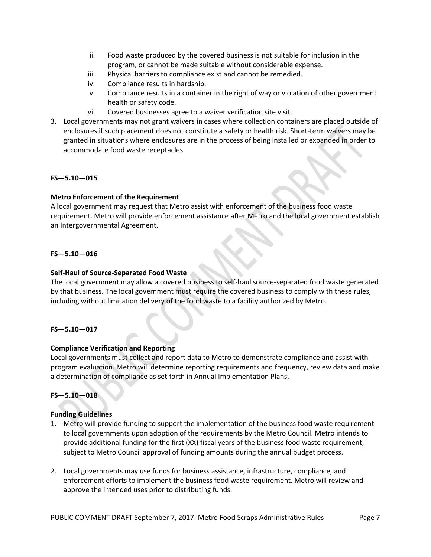- ii. Food waste produced by the covered business is not suitable for inclusion in the program, or cannot be made suitable without considerable expense.
- iii. Physical barriers to compliance exist and cannot be remedied.
- iv. Compliance results in hardship.
- v. Compliance results in a container in the right of way or violation of other government health or safety code.
- vi. Covered businesses agree to a waiver verification site visit.
- 3. Local governments may not grant waivers in cases where collection containers are placed outside of enclosures if such placement does not constitute a safety or health risk. Short-term waivers may be granted in situations where enclosures are in the process of being installed or expanded in order to accommodate food waste receptacles.

## **FS—5.10—015**

## **Metro Enforcement of the Requirement**

A local government may request that Metro assist with enforcement of the business food waste requirement. Metro will provide enforcement assistance after Metro and the local government establish an Intergovernmental Agreement.

## **FS—5.10—016**

## **Self-Haul of Source-Separated Food Waste**

The local government may allow a covered business to self-haul source-separated food waste generated by that business. The local government must require the covered business to comply with these rules, including without limitation delivery of the food waste to a facility authorized by Metro.

## **FS—5.10—017**

## **Compliance Verification and Reporting**

Local governments must collect and report data to Metro to demonstrate compliance and assist with program evaluation. Metro will determine reporting requirements and frequency, review data and make a determination of compliance as set forth in Annual Implementation Plans.

## **FS—5.10—018**

## **Funding Guidelines**

- 1. Metro will provide funding to support the implementation of the business food waste requirement to local governments upon adoption of the requirements by the Metro Council. Metro intends to provide additional funding for the first (XX) fiscal years of the business food waste requirement, subject to Metro Council approval of funding amounts during the annual budget process.
- 2. Local governments may use funds for business assistance, infrastructure, compliance, and enforcement efforts to implement the business food waste requirement. Metro will review and approve the intended uses prior to distributing funds.